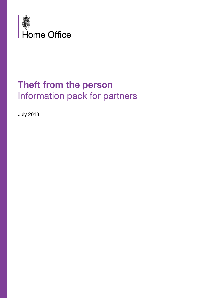

## **Theft from the person** Information pack for partners

July 2013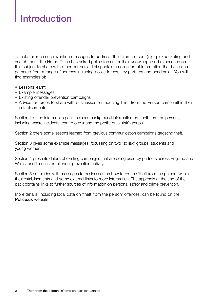# Introduction

To help tailor crime prevention messages to address 'theft from person' (e.g. pickpocketing and snatch theft), the Home Office has asked police forces for their knowledge and experience on this subject to share with other partners. This pack is a collection of information that has been gathered from a range of sources including police forces, key partners and academia. You will find examples of:

- Lessons learnt
- Example messages
- Existing offender prevention campaigns
- Advice for forces to share with businesses on reducing Theft from the Person crime within their establishments

Section 1 of the information pack includes background information on 'theft from the person', including where incidents tend to occur and the profile of 'at risk' groups.

Section 2 offers some lessons learned from previous communication campaigns targeting theft.

Section 3 gives some example messages, focussing on two 'at risk' groups: students and young women.

Section 4 presents details of existing campaigns that are being used by partners across England and Wales, and focuses on offender prevention activity.

Section 5 concludes with messages to businesses on how to reduce 'theft from the person' within their establishments and some external links to more information. The appendix at the end of the pack contains links to further sources of information on personal safety and crime prevention.

More details, including local data on 'theft from the person' offences, can be found on the <Police.uk> website.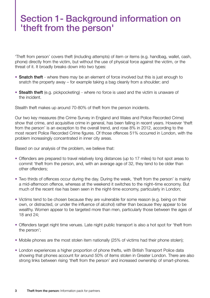### Section 1- Background information on 'theft from the person'

'Theft from person' covers theft (including attempts) of item or items (e.g. handbag, wallet, cash, phone) directly from the victim, but without the use of physical force against the victim, or the threat of it. It broadly breaks down into two types:

- Snatch theft where there may be an element of force involved but this is just enough to snatch the property away – for example taking a bag cleanly from a shoulder; and
- Stealth theft (e.g. pickpocketing) where no force is used and the victim is unaware of the incident.

Stealth theft makes up around 70-80% of theft from the person incidents.

Our two key measures (the Crime Survey in England and Wales and Police Recorded Crime) show that crime, and acquisitive crime in general, has been falling in recent years. However 'theft from the person' is an exception to the overall trend, and rose 8% in 2012, according to the most recent Police Recorded Crime figures. Of those offences 51% occurred in London, with the problem increasingly concentrated in inner city areas.

Based on our analysis of the problem, we believe that:

- Offenders are prepared to travel relatively long distances (up to 17 miles) to hot spot areas to commit 'theft from the person, and, with an average age of 32, they tend to be older than other offenders;
- Two thirds of offences occur during the day. During the week, 'theft from the person' is mainly a mid-afternoon offence, whereas at the weekend it switches to the night–time economy. But much of the recent rise has been seen in the night-time economy, particularly in London;
- Victims tend to be chosen because they are vulnerable for some reason (e.g. being on their own, or distracted, or under the influence of alcohol) rather than because they appear to be wealthy. Women appear to be targeted more than men, particularly those between the ages of 18 and 24;
- Offenders target night time venues. Late night public transport is also a hot spot for 'theft from the person';
- Mobile phones are the most stolen item nationally (25% of victims had their phone stolen);
- London experiences a higher proportion of phone thefts, with British Transport Police data showing that phones account for around 50% of items stolen in Greater London. There are also strong links between rising 'theft from the person' and increased ownership of smart-phones.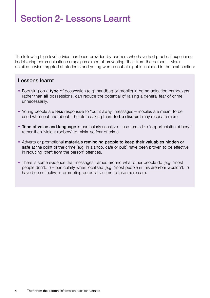# Section 2- Lessons Learnt

The following high level advice has been provided by partners who have had practical experience in delivering communication campaigns aimed at preventing 'theft from the person'. More detailed advice targeted at students and young women out at night is included in the next section:

#### Lessons learnt

- Focusing on a type of possession (e.g. handbag or mobile) in communication campaigns, rather than all possessions, can reduce the potential of raising a general fear of crime unnecessarily.
- Young people are less responsive to "put it away" messages mobiles are meant to be used when out and about. Therefore asking them to be discreet may resonate more.
- Tone of voice and language is particularly sensitive use terms like 'opportunistic robbery' rather than 'violent robbery' to minimise fear of crime.
- Adverts or promotional materials reminding people to keep their valuables hidden or safe at the point of the crime (e.g. in a shop, cafe or pub) have been proven to be effective in reducing 'theft from the person' offences.
- There is some evidence that messages framed around what other people do (e.g. 'most people don't...') – particularly when localised (e.g. 'most people in this area/bar wouldn't...') have been effective in prompting potential victims to take more care.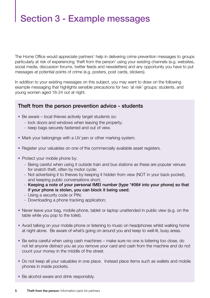# Section 3 - Example messages

The Home Office would appreciate partners' help in delivering crime prevention messages to groups particularly at risk of experiencing 'theft from the person' using your existing channels (e.g. websites, social media, discussion forums, twitter feeds and newsletters) and any opportunity you have to put messages at potential points of crime (e.g. posters, post cards, stickers).

In addition to your existing messages on this subject, you may want to draw on the following example messaging that highlights sensible precautions for two 'at risk' groups: students, and young women aged 18-24 out at night.

#### Theft from the person prevention advice - students

- Be aware local thieves actively target students so:
	- lock doors and windows when leaving the property;
	- keep bags securely fastened and out of view.
- Mark your belongings with a UV pen or other marking system.
- Register your valuables on one of the commercially available asset registers.
- Protect your mobile phone by:
	- Being careful when using it outside train and bus stations as these are popular venues for snatch theft, often by motor cycle;
	- Not advertising it to thieves by keeping it hidden from view (NOT in your back pocket), and keeping public conversations short;
	- Keeping a note of your personal IMEI number (type \*#06# into your phone) so that if your phone is stolen, you can block it being used;
	- Using a security code or PIN;
	- Downloading a phone tracking application;
- Never leave your bag, mobile phone, tablet or laptop unattended in public view (e.g. on the table while you pop to the toilet).
- Avoid talking on your mobile phone or listening to music on headphones whilst walking home at night alone. Be aware of what's going on around you and keep to well-lit, busy areas.
- Be extra careful when using cash machines make sure no one is loitering too close, do not let anyone distract you as you remove your card and cash from the machine and do not count your money in the middle of the street.
- Do not keep all your valuables in one place. Instead place items such as wallets and mobile phones in inside pockets.
- Be alcohol aware and drink responsibly.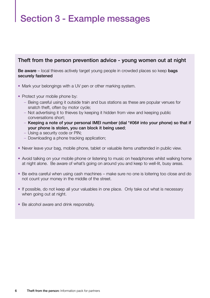# Section 3 - Example messages

#### Theft from the person prevention advice - young women out at night

Be aware – local thieves actively target young people in crowded places so keep bags securely fastened

- Mark your belongings with a UV pen or other marking system.
- Protect your mobile phone by:
	- Being careful using it outside train and bus stations as these are popular venues for snatch theft, often by motor cycle;
	- Not advertising it to thieves by keeping it hidden from view and keeping public conversations short;
	- Keeping a note of your personal IMEI number (dial \*#06# into your phone) so that if your phone is stolen, you can block it being used;
	- Using a security code or PIN;
	- Downloading a phone tracking application;
- Never leave your bag, mobile phone, tablet or valuable items unattended in public view.
- Avoid talking on your mobile phone or listening to music on headphones whilst walking home at night alone. Be aware of what's going on around you and keep to well-lit, busy areas.
- Be extra careful when using cash machines make sure no one is loitering too close and do not count your money in the middle of the street.
- If possible, do not keep all your valuables in one place. Only take out what is necessary when going out at night.
- Be alcohol aware and drink responsibly.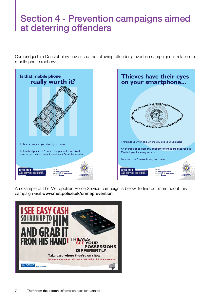## Section 4 - Prevention campaigns aimed at deterring offenders

Cambridgeshire Constabulary have used the following offender prevention campaigns in relation to mobile phone robbery:



An example of The Metropolitan Police Service campaign is below, to find out more about this campaign visit <www.met.police.uk/crimeprevention>

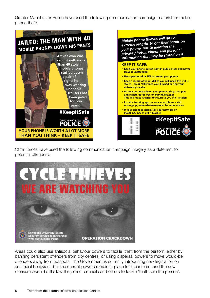Greater Manchester Police have used the following communication campaign material for mobile phone theft:



Other forces have used the following communication campaign imagery as a deterrent to potential offenders.



Areas could also use antisocial behaviour powers to tackle 'theft from the person', either by banning persistent offenders from city centres, or using dispersal powers to move would-be offenders away from hotspots. The Government is currently introducing new legislation on antisocial behaviour, but the current powers remain in place for the interim, and the new measures would still allow the police, councils and others to tackle 'theft from the person'.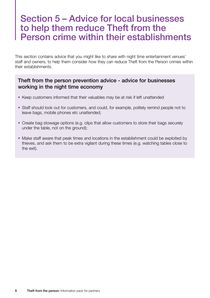### Section 5 – Advice for local businesses to help them reduce Theft from the Person crime within their establishments

This section contains advice that you might like to share with night time entertainment venues' staff and owners, to help them consider how they can reduce Theft from the Person crimes within their establishments.

#### Theft from the person prevention advice - advice for businesses working in the night time economy

- Keep customers informed that their valuables may be at risk if left unattended
- Staff should look out for customers, and could, for example, politely remind people not to leave bags, mobile phones etc unattended;
- Create bag stowage options (e.g. clips that allow customers to store their bags securely under the table, not on the ground);
- Make staff aware that peak times and locations in the establishment could be exploited by thieves, and ask them to be extra vigilant during these times (e.g. watching tables close to the exit).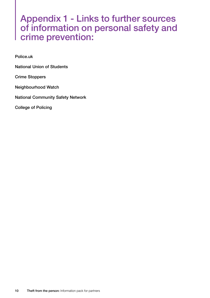### Appendix 1 - Links to further sources of information on personal safety and crime prevention:

[Police.uk](http://www.police.uk/crime-and-justice-advice/protect-yourself/?q)

[National Union of Students](http://www.nus.org.uk/en/advice/student-safety/)

[Crime Stoppers](https://crimestoppers-uk.org/)

[Neighbourhood Watch](http://www.ourwatch.org.uk/safety_advice/personal_safety/)

[National Community Safety Network](http://www.community-safety.net/)

[College of Policing](http://www.college.police.uk/)